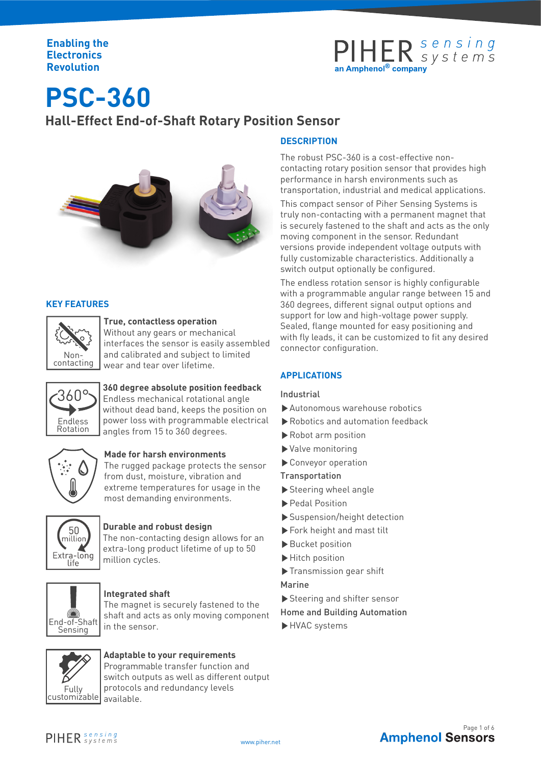### **Enabling the Electronics Revolution**

## PIHER sensing

# **PSC-360 Hall-Effect End-of-Shaft Rotary Position Sensor**



### **KEY FEATURES**



### **True, contactless operation**

Without any gears or mechanical interfaces the sensor is easily assembled and calibrated and subject to limited wear and tear over lifetime.



### **360 degree absolute position feedback**

360°S Endless mechanical rotational angle without dead band, keeps the position on power loss with programmable electrical angles from 15 to 360 degrees.



### **Made for harsh environments**

Non-<br>
Mon-<br>
Matering wear and tear over lifetime.<br>
APPLICATIONS<br>
Solongree absolute position feedback<br>
Industrial<br>
without dead bend, keeps the position on **Departments**<br>
Made for harsh environments<br>
The rugged package pr The rugged package protects the sensor from dust, moisture, vibration and extreme temperatures for usage in the most demanding environments.



### **Durable and robust design**

The non-contacting design allows for an extra-long product lifetime of up to 50 million cycles.



### **Integrated shaft**

The magnet is securely fastened to the shaft and acts as only moving component in the sensor.



### **Adaptable to your requirements**

Programmable transfer function and switch outputs as well as different output protocols and redundancy levels available.

### **DESCRIPTION**

The robust PSC-360 is a cost-effective noncontacting rotary position sensor that provides high performance in harsh environments such as transportation, industrial and medical applications.

This compact sensor of Piher Sensing Systems is truly non-contacting with a permanent magnet that is securely fastened to the shaft and acts as the only moving component in the sensor. Redundant versions provide independent voltage outputs with fully customizable characteristics. Additionally a switch output optionally be configured.

The endless rotation sensor is highly configurable with a programmable angular range between 15 and 360 degrees, different signal output options and support for low and high-voltage power supply. Sealed, flange mounted for easy positioning and with fly leads, it can be customized to fit any desired connector configuration.

### **APPLICATIONS**

### Industrial

- ▶Autonomous warehouse robotics
- ▶Robotics and automation feedback
- ▶Robot arm position
- ▶Valve monitoring
- ▶Conveyor operation
- Transportation
- ▶Steering wheel angle
- ▶Pedal Position
- ▶Suspension/height detection
- ▶Fork height and mast tilt
- ▶Bucket position
- ▶Hitch position
- ▶Transmission gear shift
- Marine
- ▶Steering and shifter sensor
- Home and Building Automation
- 



www.piher.net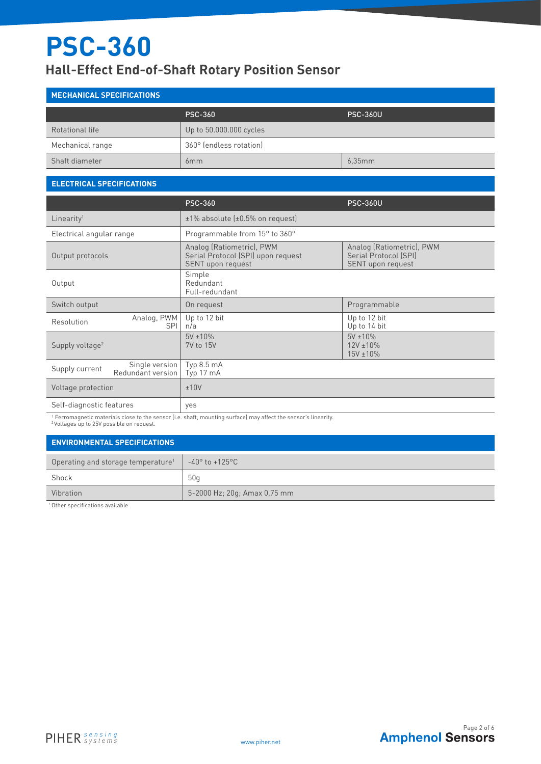## **Hall-Effect End-of-Shaft Rotary Position Sensor**

## **MECHANICAL SPECIFICATIONS** PSC-360 PSC-360U Rotational life Value 10 and 20 and 20 and 20 and 20 and 20 and 20 and 20 and 20 and 20 and 20 and 20 and 20 and 20 and 20 and 20 and 20 and 20 and 20 and 20 and 20 and 20 and 20 and 20 and 20 and 20 and 20 and 20 and 20 a Mechanical range  $\begin{vmatrix} 360^\circ \end{vmatrix}$  360° (endless rotation) Shaft diameter 6.35mm 6,35mm 6,35mm 6,35mm 6,35mm 6,35mm 6,35mm 6,35mm 6,35mm 6,35mm 6,35mm 6,35mm 6,35mm 6,35

### **ELECTRICAL SPECIFICATIONS**

|                                                       | <b>PSC-360</b>                                                                       | <b>PSC-360U</b>                                                         |
|-------------------------------------------------------|--------------------------------------------------------------------------------------|-------------------------------------------------------------------------|
| Linearity <sup>1</sup>                                | $±1\%$ absolute ( $±0.5\%$ on request)                                               |                                                                         |
| Electrical angular range                              | Programmable from 15° to 360°                                                        |                                                                         |
| Output protocols                                      | Analog (Ratiometric), PWM<br>Serial Protocol (SPI) upon request<br>SENT upon request | Analog (Ratiometric), PWM<br>Serial Protocol (SPI)<br>SENT upon request |
| Output                                                | Simple<br>Redundant<br>Full-redundant                                                |                                                                         |
| Switch output                                         | On request                                                                           | Programmable                                                            |
| Analog, PWM<br>Resolution<br><b>SPI</b>               | Up to 12 bit<br>n/a                                                                  | Up to 12 bit<br>Up to 14 bit                                            |
| Supply voltage <sup>2</sup>                           | $5V \pm 10\%$<br>7V to 15V                                                           | $5V \pm 10\%$<br>$12V \pm 10\%$<br>$15V \pm 10\%$                       |
| Single version<br>Supply current<br>Redundant version | Typ 8.5 mA<br>Typ 17 mA                                                              |                                                                         |
| Voltage protection                                    | ±10V                                                                                 |                                                                         |
| Self-diagnostic features                              | yes                                                                                  |                                                                         |

<sup>1</sup> Ferromagnetic materials close to the sensor (i.e. shaft, mounting surface) may affect the sensor's linearity. <sup>2</sup> Voltages up to 25V possible on request.

### **ENVIRONMENTAL SPECIFICATIONS**

| Operating and storage temperature <sup>1</sup> | -40° to +125°C               |
|------------------------------------------------|------------------------------|
| Shock                                          | 50 <sub>q</sub>              |
| Vibration                                      | 5-2000 Hz; 20g; Amax 0,75 mm |

<sup>1</sup>Other specifications available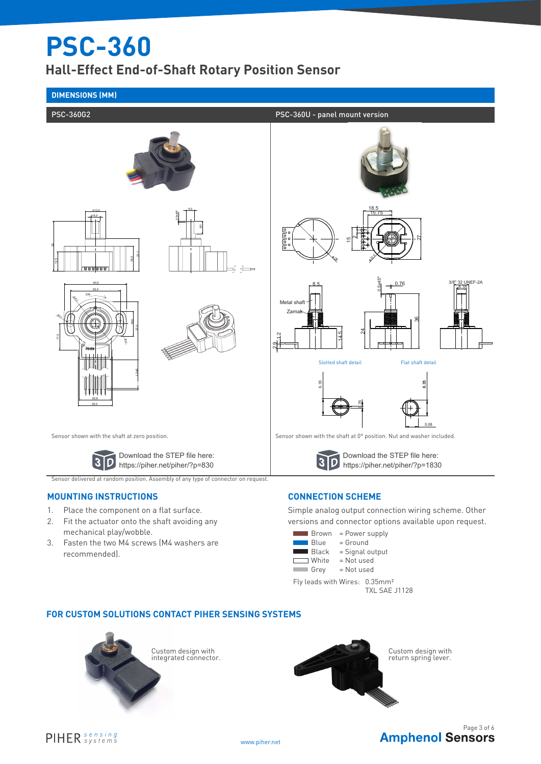**Hall-Effect End-of-Shaft Rotary Position Sensor**



- 1. Place the component on a flat surface.
- 2. Fit the actuator onto the shaft avoiding any mechanical play/wobble.
- 3. Fasten the two M4 screws (M4 washers are recommended).



Simple analog output connection wiring scheme. Other versions and connector options available upon request.

- $\blacksquare$  Brown = Power supply  $\blacksquare$  Blue = Ground White = Not used<br>Grey = Not used  $\Box$ 
	- $\blacksquare$  Black  $=$  Signal output
		- = Not used

Fly leads with Wires: 0.35mm² TXL SAE J1128

### **FOR CUSTOM SOLUTIONS CONTACT PIHER SENSING SYSTEMS**





**Amphenol Sensors**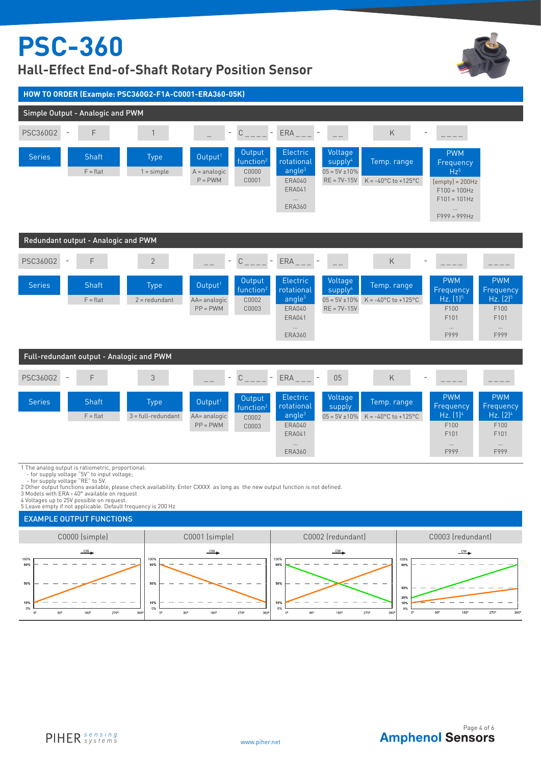## **Hall-Effect End-of-Shaft Rotary Position Sensor**





3 Models with ERA < 40° available on request 4 Voltages up to 25V possible on request.

5 Leave empty if not applicable. Default frequency is 200 Hz

### EXAMPLE OUTPUT FUNCTIONS



**Amphenol Sensors**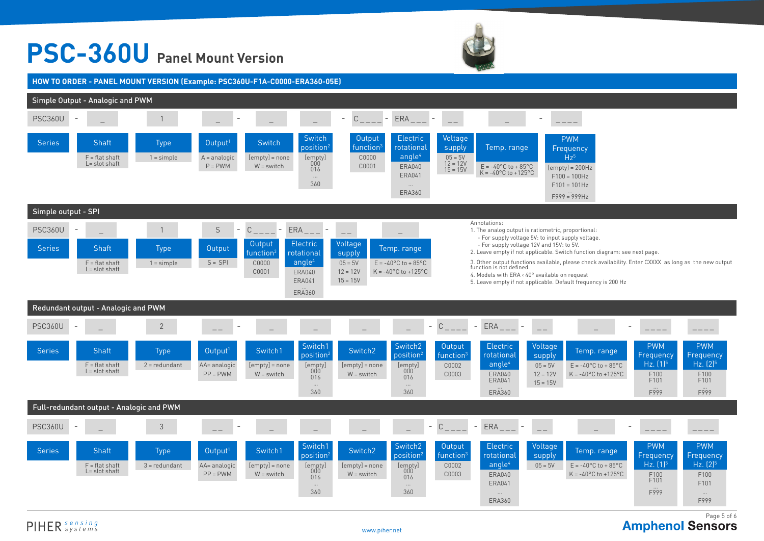# **PSC-360U Panel Mount Version**



**HOW TO ORDER - PANEL MOUNT VERSION (Example: PSC360U-F1A-C0000-ERA360-05E)**



PIHER sensing

**Amphenol Sensors**